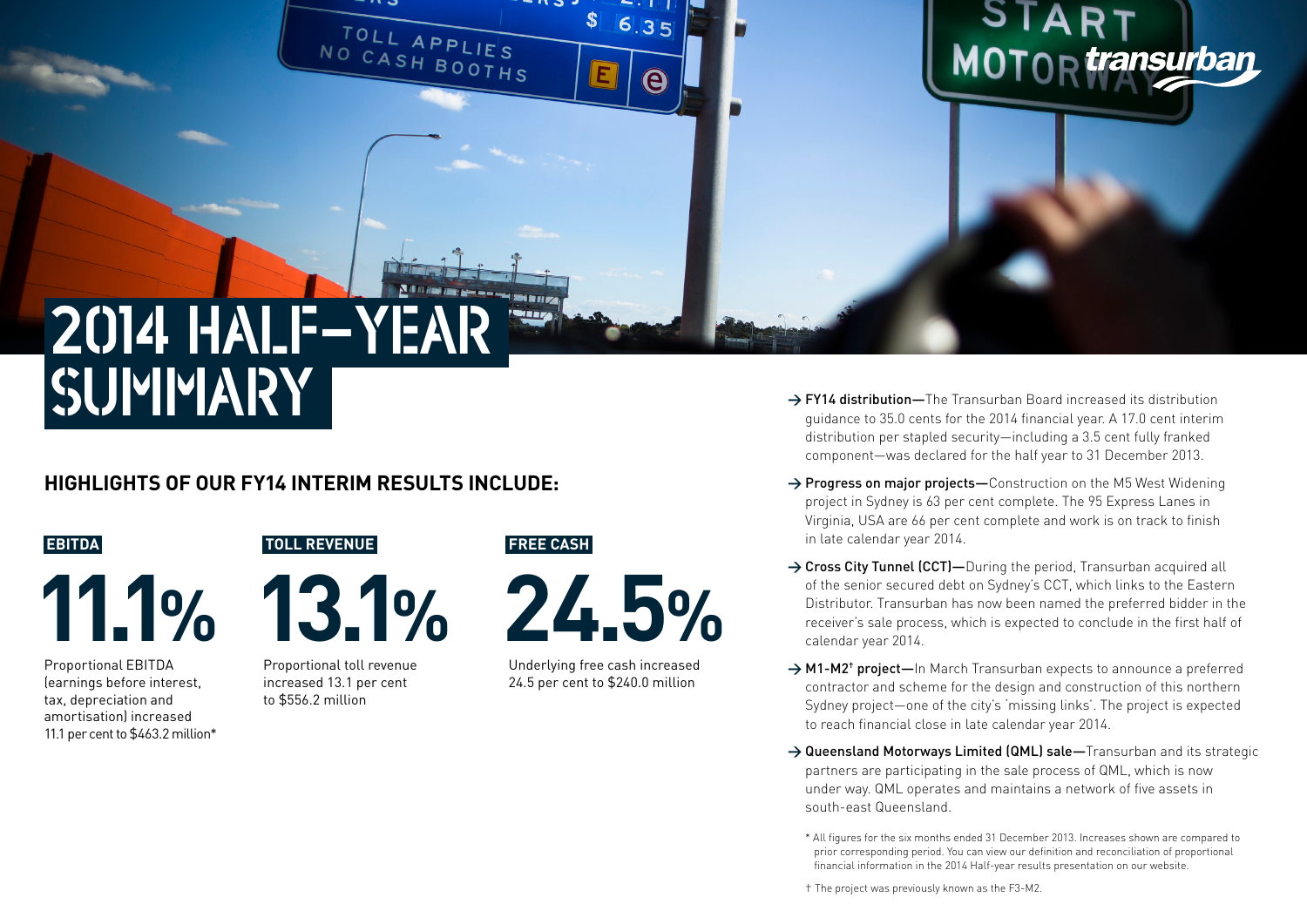2014 HALF-YEAR SUMMARY

### **HIGHLIGHTS OF OUR FY14 INTERIM RESULTS INCLUDE:**

#### **EBITDA**

**11.1%**

Proportional EBITDA (earnings before interest, tax, depreciation and amortisation) increased 11.1 per cent to \$463.2 million\* **TOLL REVENUE**

**13.1%**

Proportional toll revenue increased 13.1 per cent to \$556.2 million

#### **FREE CASH**

**FOREIX** 



 $\mathbf{s}$ 

E

TOLL APPLIE'S

6.35

 $\mathbf{\Theta}$ 

Underlying free cash increased 24.5 per cent to \$240.0 million

→ **FY14 distribution**—The Transurban Board increased its distribution guidance to 35.0 cents for the 2014 financial year. A 17.0 cent interim distribution per stapled security—including a 3.5 cent fully franked component—was declared for the half year to 31 December 2013.

MOTOR *transurban* 

- → Progress on major projects–Construction on the M5 West Widening project in Sydney is 63 per cent complete. The 95 Express Lanes in Virginia, USA are 66 per cent complete and work is on track to finish in late calendar year 2014.
- → Cross City Tunnel (CCT)—During the period, Transurban acquired all of the senior secured debt on Sydney's CCT, which links to the Eastern Distributor. Transurban has now been named the preferred bidder in the receiver's sale process, which is expected to conclude in the first half of calendar year 2014.
- → M1-M2<sup>+</sup> project—In March Transurban expects to announce a preferred contractor and scheme for the design and construction of this northern Sydney project—one of the city's 'missing links'. The project is expected to reach financial close in late calendar year 2014.
- → Queensland Motorways Limited (QML) sale—Transurban and its strategic partners are participating in the sale process of QML, which is now under way. QML operates and maintains a network of five assets in south-east Queensland.
	- \* All figures for the six months ended 31 December 2013. Increases shown are compared to prior corresponding period. You can view our definition and reconciliation of proportional financial information in the 2014 Half-year results presentation on our website.

† The project was previously known as the F3-M2.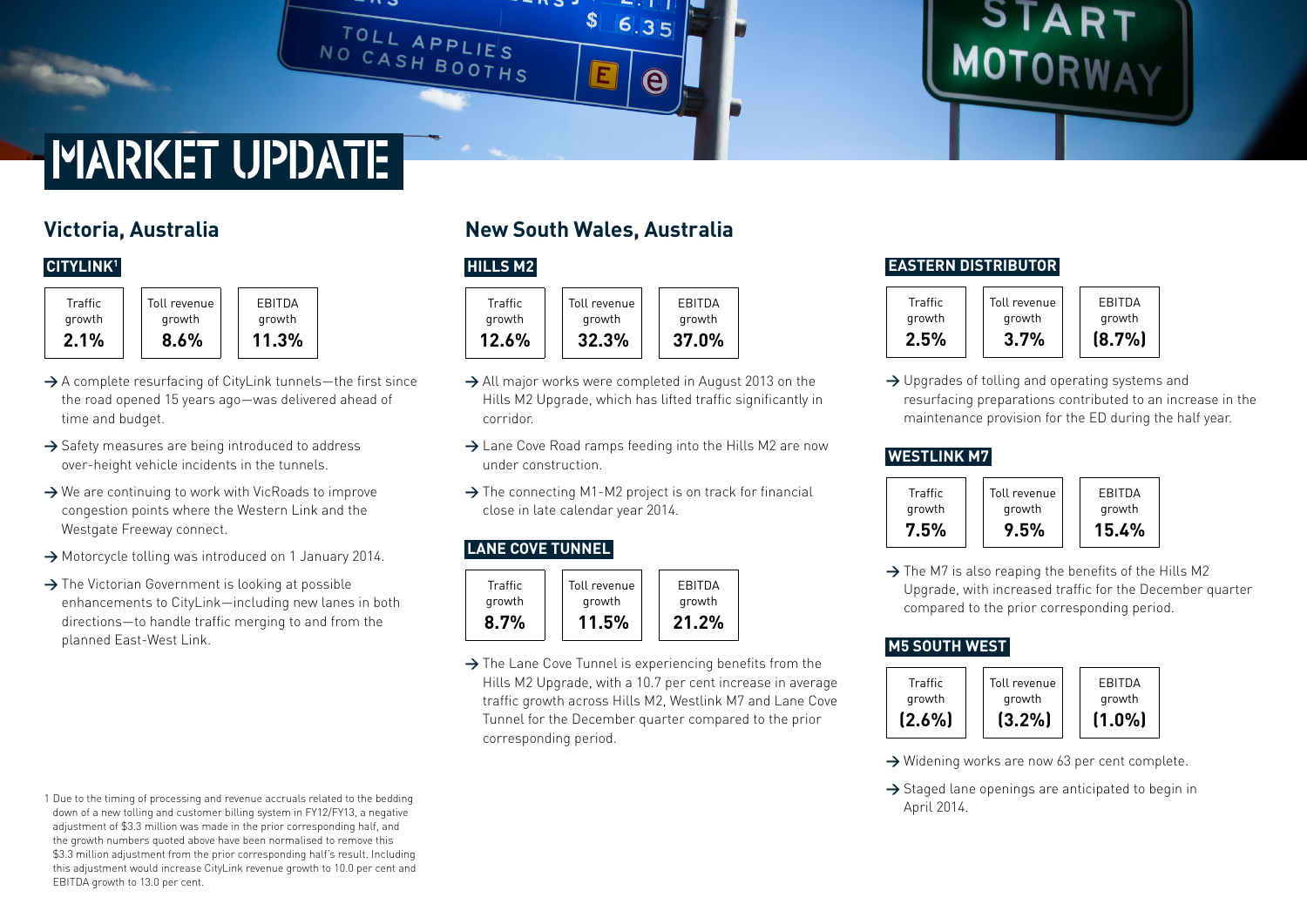

# START<br>MOTORWAY

# MARKET UPDATE

## **Victoria, Australia**

#### **CITYLINK1**

**Traffic** growth **2.1%** Toll revenue growth **8.6%** EBITDA growth **11.3%**

- → A complete resurfacing of CityLink tunnels—the first since the road opened 15 years ago—was delivered ahead of time and budget.
- → Safety measures are being introduced to address over-height vehicle incidents in the tunnels.
- → We are continuing to work with VicRoads to improve congestion points where the Western Link and the Westgate Freeway connect.
- **>** Motorcycle tolling was introduced on 1 January 2014.
- → The Victorian Government is looking at possible enhancements to CityLink—including new lanes in both directions—to handle traffic merging to and from the planned East-West Link.

#### 1 Due to the timing of processing and revenue accruals related to the bedding down of a new tolling and customer billing system in FY12/FY13, a negative adjustment of \$3.3 million was made in the prior corresponding half, and the growth numbers quoted above have been normalised to remove this \$3.3 million adjustment from the prior corresponding half's result. Including this adjustment would increase CityLink revenue growth to 10.0 per cent and EBITDA growth to 13.0 per cent.

## **New South Wales, Australia**

#### **HILLS M2**



- → All major works were completed in August 2013 on the Hills M2 Upgrade, which has lifted traffic significantly in corridor.
- **>** Lane Cove Road ramps feeding into the Hills M2 are now under construction.
- **>** The connecting M1-M2 project is on track for financial close in late calendar year 2014.

#### **LANE COVE TUNNEL**



**>** The Lane Cove Tunnel is experiencing benefits from the Hills M2 Upgrade, with a 10.7 per cent increase in average traffic growth across Hills M2, Westlink M7 and Lane Cove Tunnel for the December quarter compared to the prior corresponding period.

#### **EASTERN DISTRIBUTOR**



→ Upgrades of tolling and operating systems and resurfacing preparations contributed to an increase in the maintenance provision for the ED during the half year.

#### **WESTLINK M7**



→ The M7 is also reaping the benefits of the Hills M2 Upgrade, with increased traffic for the December quarter compared to the prior corresponding period.

#### **M5 SOUTH WEST**



- → Widening works are now 63 per cent complete.
- → Staged lane openings are anticipated to begin in April 2014.